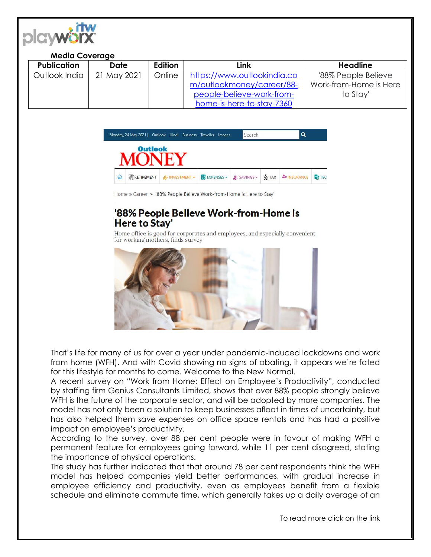

## **Media Coverage**

| <b>Publication</b> | <b>Date</b> | <b>Edition</b> | Link                        | <b>Headline</b>        |
|--------------------|-------------|----------------|-----------------------------|------------------------|
| Outlook India      | 21 May 2021 | Online         | https://www.outlookindia.co | '88% People Believe    |
|                    |             |                | m/outlookmoney/career/88-   | Work-from-Home is Here |
|                    |             |                | people-believe-work-from-   | to Stay'               |
|                    |             |                | home-is-here-to-stay-7360   |                        |



Home » Career » '88% People Believe Work-from-Home is Here to Stay'

## '88% People Believe Work-from-Home is **Here to Stay'**

Home office is good for corporates and employees, and especially convenient for working mothers, finds survey



That's life for many of us for over a year under pandemic-induced lockdowns and work from home (WFH). And with Covid showing no signs of abating, it appears we're fated for this lifestyle for months to come. Welcome to the New Normal.

A recent survey on "Work from Home: Effect on Employee's Productivity", conducted by staffing firm Genius Consultants Limited, shows that over 88% people strongly believe WFH is the future of the corporate sector, and will be adopted by more companies. The model has not only been a solution to keep businesses afloat in times of uncertainty, but has also helped them save expenses on office space rentals and has had a positive impact on employee's productivity.

According to the survey, over 88 per cent people were in favour of making WFH a permanent feature for employees going forward, while 11 per cent disagreed, stating the importance of physical operations.

The study has further indicated that that around 78 per cent respondents think the WFH model has helped companies yield better performances, with gradual increase in employee efficiency and productivity, even as employees benefit from a flexible schedule and eliminate commute time, which generally takes up a daily average of an

To read more click on the link